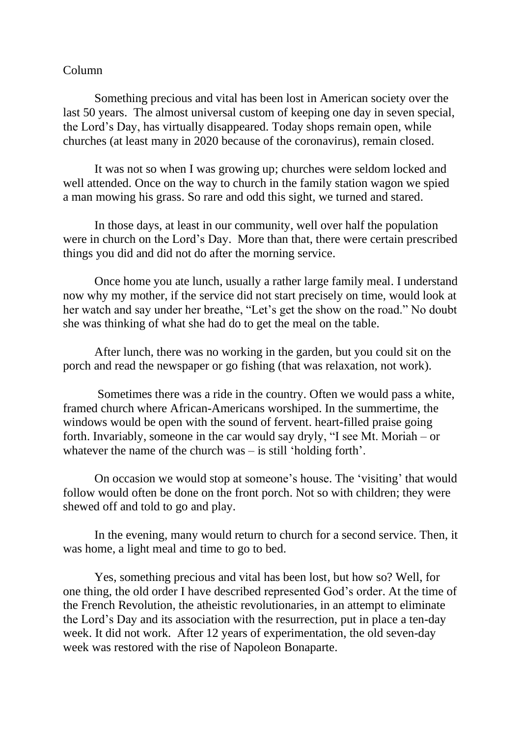## Column

Something precious and vital has been lost in American society over the last 50 years. The almost universal custom of keeping one day in seven special, the Lord's Day, has virtually disappeared. Today shops remain open, while churches (at least many in 2020 because of the coronavirus), remain closed.

It was not so when I was growing up; churches were seldom locked and well attended. Once on the way to church in the family station wagon we spied a man mowing his grass. So rare and odd this sight, we turned and stared.

In those days, at least in our community, well over half the population were in church on the Lord's Day. More than that, there were certain prescribed things you did and did not do after the morning service.

Once home you ate lunch, usually a rather large family meal. I understand now why my mother, if the service did not start precisely on time, would look at her watch and say under her breathe, "Let's get the show on the road." No doubt she was thinking of what she had do to get the meal on the table.

After lunch, there was no working in the garden, but you could sit on the porch and read the newspaper or go fishing (that was relaxation, not work).

Sometimes there was a ride in the country. Often we would pass a white, framed church where African-Americans worshiped. In the summertime, the windows would be open with the sound of fervent. heart-filled praise going forth. Invariably, someone in the car would say dryly, "I see Mt. Moriah – or whatever the name of the church was – is still 'holding forth'.

On occasion we would stop at someone's house. The 'visiting' that would follow would often be done on the front porch. Not so with children; they were shewed off and told to go and play.

In the evening, many would return to church for a second service. Then, it was home, a light meal and time to go to bed.

Yes, something precious and vital has been lost, but how so? Well, for one thing, the old order I have described represented God's order. At the time of the French Revolution, the atheistic revolutionaries, in an attempt to eliminate the Lord's Day and its association with the resurrection, put in place a ten-day week. It did not work. After 12 years of experimentation, the old seven-day week was restored with the rise of Napoleon Bonaparte.